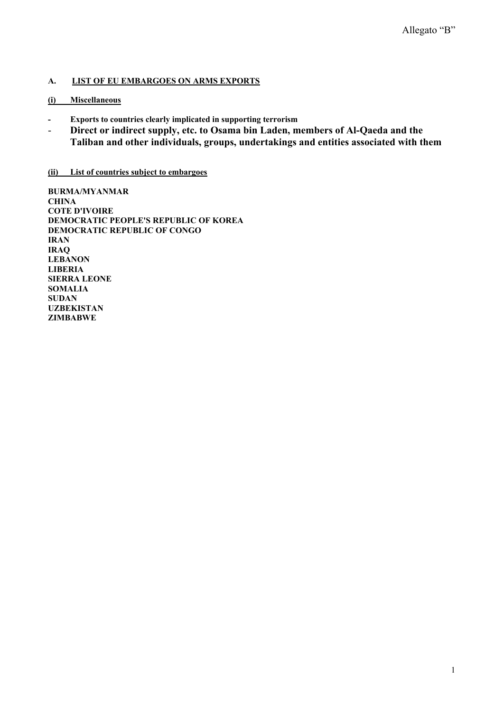## **A. LIST OF EU EMBARGOES ON ARMS EXPORTS**

### **(i) Miscellaneous**

- **Exports to countries clearly implicated in supporting terrorism**
- **Direct or indirect supply, etc. to Osama bin Laden, members of Al-Qaeda and the Taliban and other individuals, groups, undertakings and entities associated with them**

### **(ii) List of countries subject to embargoes**

**BURMA/MYANMAR CHINA COTE D'IVOIRE DEMOCRATIC PEOPLE'S REPUBLIC OF KOREA DEMOCRATIC REPUBLIC OF CONGO IRAN IRAQ LEBANON LIBERIA SIERRA LEONE SOMALIA SUDAN UZBEKISTAN ZIMBABWE**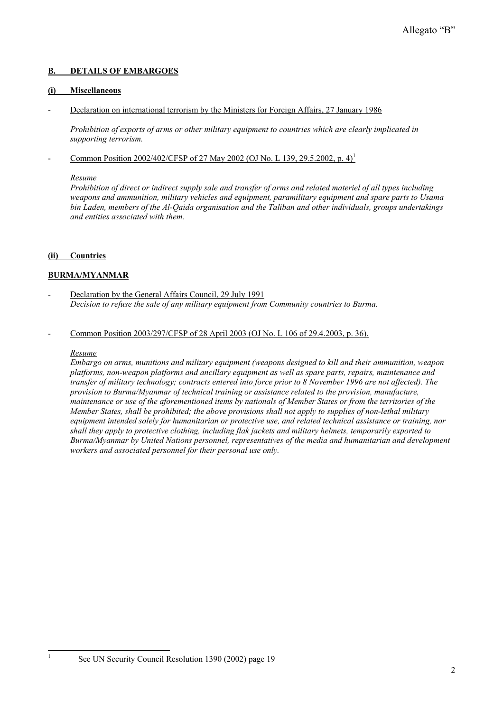### **B. DETAILS OF EMBARGOES**

#### **(i) Miscellaneous**

- Declaration on international terrorism by the Ministers for Foreign Affairs, 27 January 1986

 *Prohibition of exports of arms or other military equipment to countries which are clearly implicated in supporting terrorism.* 

- Common Position 2002/402/CFSP of 27 May 2002 (OJ No. L 139, 29.5.2002, p. 4)<sup>1</sup>

#### *Resume*

*Prohibition of direct or indirect supply sale and transfer of arms and related materiel of all types including weapons and ammunition, military vehicles and equipment, paramilitary equipment and spare parts to Usama bin Laden, members of the Al-Qaida organisation and the Taliban and other individuals, groups undertakings and entities associated with them.* 

## **(ii) Countries**

## **BURMA/MYANMAR**

Declaration by the General Affairs Council, 29 July 1991  *Decision to refuse the sale of any military equipment from Community countries to Burma.* 

### Common Position 2003/297/CFSP of 28 April 2003 (OJ No. L 106 of 29.4.2003, p. 36).

#### *Resume*

1

*Embargo on arms, munitions and military equipment (weapons designed to kill and their ammunition, weapon platforms, non-weapon platforms and ancillary equipment as well as spare parts, repairs, maintenance and transfer of military technology; contracts entered into force prior to 8 November 1996 are not affected). The provision to Burma/Myanmar of technical training or assistance related to the provision, manufacture, maintenance or use of the aforementioned items by nationals of Member States or from the territories of the Member States, shall be prohibited; the above provisions shall not apply to supplies of non-lethal military equipment intended solely for humanitarian or protective use, and related technical assistance or training, nor shall they apply to protective clothing, including flak jackets and military helmets, temporarily exported to Burma/Myanmar by United Nations personnel, representatives of the media and humanitarian and development workers and associated personnel for their personal use only.* 

See UN Security Council Resolution 1390 (2002) page 19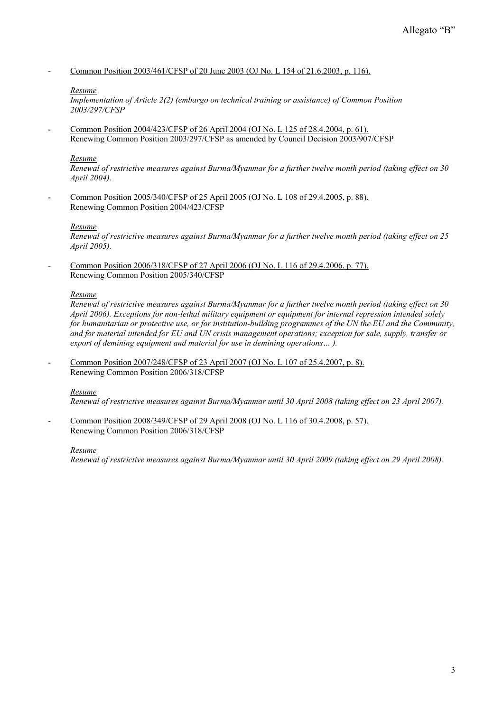- Common Position 2003/461/CFSP of 20 June 2003 (OJ No. L 154 of 21.6.2003, p. 116).

#### *Resume*

*Implementation of Article 2(2) (embargo on technical training or assistance) of Common Position 2003/297/CFSP* 

- Common Position 2004/423/CFSP of 26 April 2004 (OJ No. L 125 of 28.4.2004, p. 61). Renewing Common Position 2003/297/CFSP as amended by Council Decision 2003/907/CFSP

#### *Resume*

*Renewal of restrictive measures against Burma/Myanmar for a further twelve month period (taking effect on 30 April 2004).* 

- Common Position 2005/340/CFSP of 25 April 2005 (OJ No. L 108 of 29.4.2005, p. 88). Renewing Common Position 2004/423/CFSP

#### *Resume*

*Renewal of restrictive measures against Burma/Myanmar for a further twelve month period (taking effect on 25 April 2005).* 

- Common Position 2006/318/CFSP of 27 April 2006 (OJ No. L 116 of 29.4.2006, p. 77). Renewing Common Position 2005/340/CFSP

#### *Resume*

*Renewal of restrictive measures against Burma/Myanmar for a further twelve month period (taking effect on 30 April 2006). Exceptions for non-lethal military equipment or equipment for internal repression intended solely for humanitarian or protective use, or for institution-building programmes of the UN the EU and the Community, and for material intended for EU and UN crisis management operations; exception for sale, supply, transfer or export of demining equipment and material for use in demining operations… ).* 

Common Position 2007/248/CFSP of 23 April 2007 (OJ No. L 107 of 25.4.2007, p. 8). Renewing Common Position 2006/318/CFSP

#### *Resume*

*Renewal of restrictive measures against Burma/Myanmar until 30 April 2008 (taking effect on 23 April 2007).* 

Common Position 2008/349/CFSP of 29 April 2008 (OJ No. L 116 of 30.4.2008, p. 57). Renewing Common Position 2006/318/CFSP

#### *Resume*

*Renewal of restrictive measures against Burma/Myanmar until 30 April 2009 (taking effect on 29 April 2008).*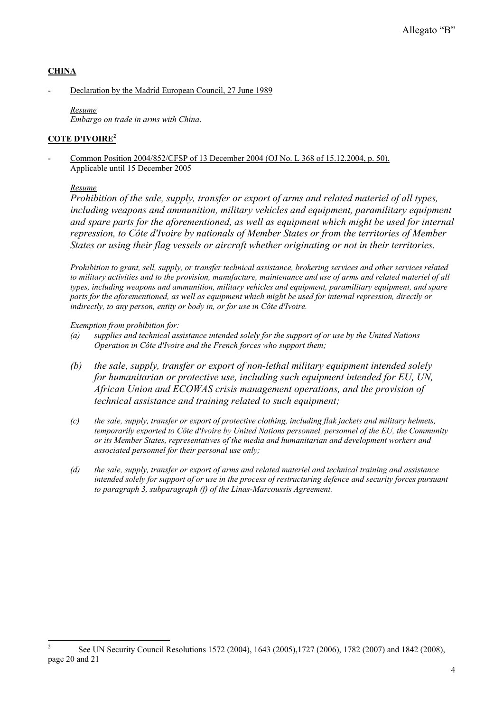# **CHINA**

Declaration by the Madrid European Council, 27 June 1989

*Resume Embargo on trade in arms with China*.

# **COTE D'IVOIRE2**

Common Position 2004/852/CFSP of 13 December 2004 (OJ No. L 368 of 15.12.2004, p. 50). Applicable until 15 December 2005

## *Resume*

*Prohibition of the sale, supply, transfer or export of arms and related materiel of all types, including weapons and ammunition, military vehicles and equipment, paramilitary equipment and spare parts for the aforementioned, as well as equipment which might be used for internal repression, to Côte d'Ivoire by nationals of Member States or from the territories of Member States or using their flag vessels or aircraft whether originating or not in their territories.* 

*Prohibition to grant, sell, supply, or transfer technical assistance, brokering services and other services related to military activities and to the provision, manufacture, maintenance and use of arms and related materiel of all types, including weapons and ammunition, military vehicles and equipment, paramilitary equipment, and spare parts for the aforementioned, as well as equipment which might be used for internal repression, directly or indirectly, to any person, entity or body in, or for use in Côte d'Ivoire.* 

*Exemption from prohibition for:* 

- *(a) supplies and technical assistance intended solely for the support of or use by the United Nations Operation in Côte d'Ivoire and the French forces who support them;*
- *(b) the sale, supply, transfer or export of non-lethal military equipment intended solely for humanitarian or protective use, including such equipment intended for EU, UN, African Union and ECOWAS crisis management operations, and the provision of technical assistance and training related to such equipment;*
- *(c) the sale, supply, transfer or export of protective clothing, including flak jackets and military helmets, temporarily exported to Côte d'Ivoire by United Nations personnel, personnel of the EU, the Community or its Member States, representatives of the media and humanitarian and development workers and associated personnel for their personal use only;*
- *(d) the sale, supply, transfer or export of arms and related materiel and technical training and assistance intended solely for support of or use in the process of restructuring defence and security forces pursuant to paragraph 3, subparagraph (f) of the Linas-Marcoussis Agreement.*

<sup>&</sup>lt;sup>2</sup> See UN Security Council Resolutions 1572 (2004), 1643 (2005),1727 (2006), 1782 (2007) and 1842 (2008), page 20 and 21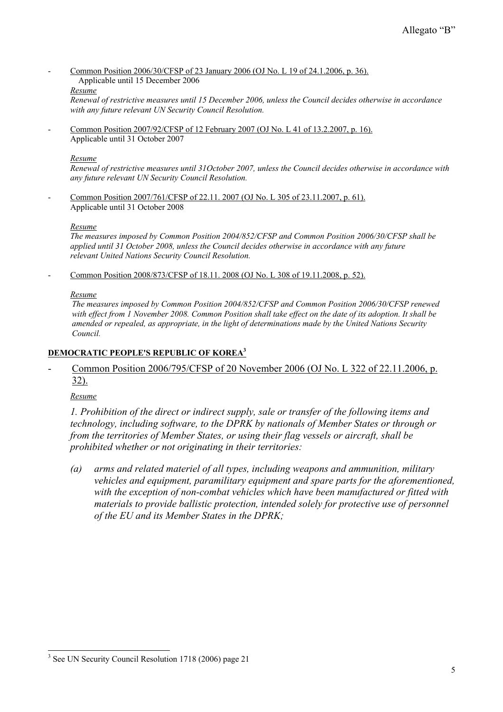- Common Position 2006/30/CFSP of 23 January 2006 (OJ No. L 19 of 24.1.2006, p. 36).

# Applicable until 15 December 2006

### *Resume*

*Renewal of restrictive measures until 15 December 2006, unless the Council decides otherwise in accordance with any future relevant UN Security Council Resolution.* 

- Common Position 2007/92/CFSP of 12 February 2007 (OJ No. L 41 of 13.2.2007, p. 16). Applicable until 31 October 2007

### *Resume*

*Renewal of restrictive measures until 31October 2007, unless the Council decides otherwise in accordance with any future relevant UN Security Council Resolution.* 

Common Position 2007/761/CFSP of 22.11. 2007 (OJ No. L 305 of 23.11.2007, p. 61). Applicable until 31 October 2008

### *Resume*

*The measures imposed by Common Position 2004/852/CFSP and Common Position 2006/30/CFSP shall be applied until 31 October 2008, unless the Council decides otherwise in accordance with any future relevant United Nations Security Council Resolution.* 

- Common Position 2008/873/CFSP of 18.11. 2008 (OJ No. L 308 of 19.11.2008, p. 52).

### *Resume*

 *The measures imposed by Common Position 2004/852/CFSP and Common Position 2006/30/CFSP renewed with effect from 1 November 2008. Common Position shall take effect on the date of its adoption. It shall be amended or repealed, as appropriate, in the light of determinations made by the United Nations Security Council.* 

# **DEMOCRATIC PEOPLE'S REPUBLIC OF KOREA3**

# - Common Position 2006/795/CFSP of 20 November 2006 (OJ No. L 322 of 22.11.2006, p. 32).

*Resume*

 $\overline{a}$ 

*1. Prohibition of the direct or indirect supply, sale or transfer of the following items and technology, including software, to the DPRK by nationals of Member States or through or from the territories of Member States, or using their flag vessels or aircraft, shall be prohibited whether or not originating in their territories:* 

*(a) arms and related materiel of all types, including weapons and ammunition, military vehicles and equipment, paramilitary equipment and spare parts for the aforementioned, with the exception of non-combat vehicles which have been manufactured or fitted with materials to provide ballistic protection, intended solely for protective use of personnel of the EU and its Member States in the DPRK;* 

<sup>&</sup>lt;sup>3</sup> See UN Security Council Resolution 1718 (2006) page 21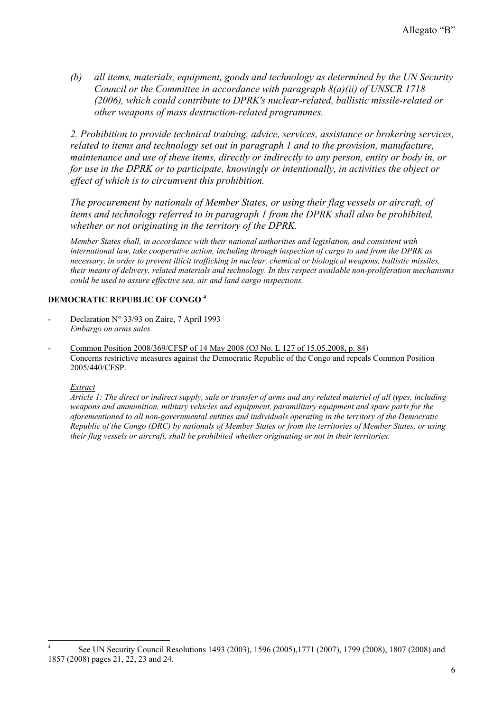*(b) all items, materials, equipment, goods and technology as determined by the UN Security Council or the Committee in accordance with paragraph 8(a)(ii) of UNSCR 1718 (2006), which could contribute to DPRK's nuclear-related, ballistic missile-related or other weapons of mass destruction-related programmes.* 

*2. Prohibition to provide technical training, advice, services, assistance or brokering services, related to items and technology set out in paragraph 1 and to the provision, manufacture, maintenance and use of these items, directly or indirectly to any person, entity or body in, or for use in the DPRK or to participate, knowingly or intentionally, in activities the object or effect of which is to circumvent this prohibition.* 

*The procurement by nationals of Member States, or using their flag vessels or aircraft, of items and technology referred to in paragraph 1 from the DPRK shall also be prohibited, whether or not originating in the territory of the DPRK.* 

*Member States shall, in accordance with their national authorities and legislation, and consistent with international law, take cooperative action, including through inspection of cargo to and from the DPRK as necessary, in order to prevent illicit trafficking in nuclear, chemical or biological weapons, ballistic missiles, their means of delivery, related materials and technology. In this respect available non-proliferation mechanisms could be used to assure effective sea, air and land cargo inspections.* 

## **DEMOCRATIC REPUBLIC OF CONGO <sup>4</sup>**

- Declaration N° 33/93 on Zaire, 7 April 1993  *Embargo on arms sales.*
- Common Position 2008/369/CFSP of 14 May 2008 (OJ No. L 127 of 15.05.2008, p. 84) Concerns restrictive measures against the Democratic Republic of the Congo and repeals Common Position 2005/440/CFSP.

#### *Extract*

*Article 1: The direct or indirect supply, sale or transfer of arms and any related materiel of all types, including weapons and ammunition, military vehicles and equipment, paramilitary equipment and spare parts for the aforementioned to all non-governmental entities and individuals operating in the territory of the Democratic Republic of the Congo (DRC) by nationals of Member States or from the territories of Member States, or using their flag vessels or aircraft, shall be prohibited whether originating or not in their territories.* 

ا<br>4 See UN Security Council Resolutions 1493 (2003), 1596 (2005),1771 (2007), 1799 (2008), 1807 (2008) and 1857 (2008) pages 21, 22, 23 and 24.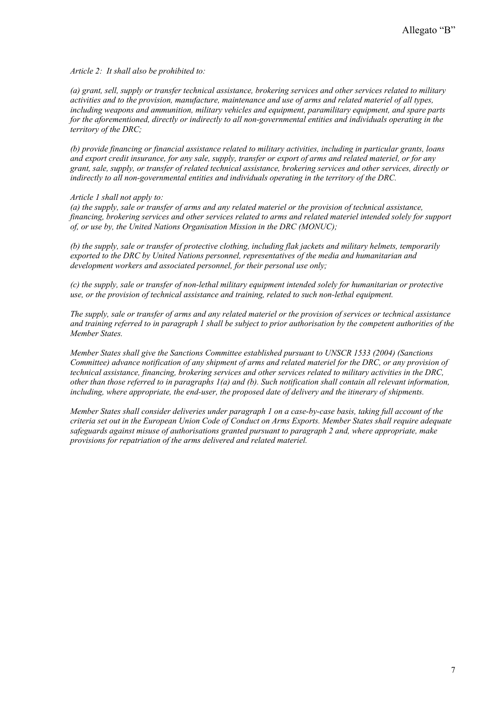*Article 2: It shall also be prohibited to:* 

*(a) grant, sell, supply or transfer technical assistance, brokering services and other services related to military activities and to the provision, manufacture, maintenance and use of arms and related materiel of all types, including weapons and ammunition, military vehicles and equipment, paramilitary equipment, and spare parts for the aforementioned, directly or indirectly to all non-governmental entities and individuals operating in the territory of the DRC;* 

*(b) provide financing or financial assistance related to military activities, including in particular grants, loans and export credit insurance, for any sale, supply, transfer or export of arms and related materiel, or for any grant, sale, supply, or transfer of related technical assistance, brokering services and other services, directly or indirectly to all non-governmental entities and individuals operating in the territory of the DRC.* 

#### *Article 1 shall not apply to:*

*(a) the supply, sale or transfer of arms and any related materiel or the provision of technical assistance, financing, brokering services and other services related to arms and related materiel intended solely for support of, or use by, the United Nations Organisation Mission in the DRC (MONUC);* 

*(b) the supply, sale or transfer of protective clothing, including flak jackets and military helmets, temporarily exported to the DRC by United Nations personnel, representatives of the media and humanitarian and development workers and associated personnel, for their personal use only;* 

*(c) the supply, sale or transfer of non-lethal military equipment intended solely for humanitarian or protective use, or the provision of technical assistance and training, related to such non-lethal equipment.* 

*The supply, sale or transfer of arms and any related materiel or the provision of services or technical assistance and training referred to in paragraph 1 shall be subject to prior authorisation by the competent authorities of the Member States.* 

*Member States shall give the Sanctions Committee established pursuant to UNSCR 1533 (2004) (Sanctions Committee) advance notification of any shipment of arms and related materiel for the DRC, or any provision of technical assistance, financing, brokering services and other services related to military activities in the DRC, other than those referred to in paragraphs 1(a) and (b). Such notification shall contain all relevant information, including, where appropriate, the end-user, the proposed date of delivery and the itinerary of shipments.* 

*Member States shall consider deliveries under paragraph 1 on a case-by-case basis, taking full account of the criteria set out in the European Union Code of Conduct on Arms Exports. Member States shall require adequate safeguards against misuse of authorisations granted pursuant to paragraph 2 and, where appropriate, make provisions for repatriation of the arms delivered and related materiel.*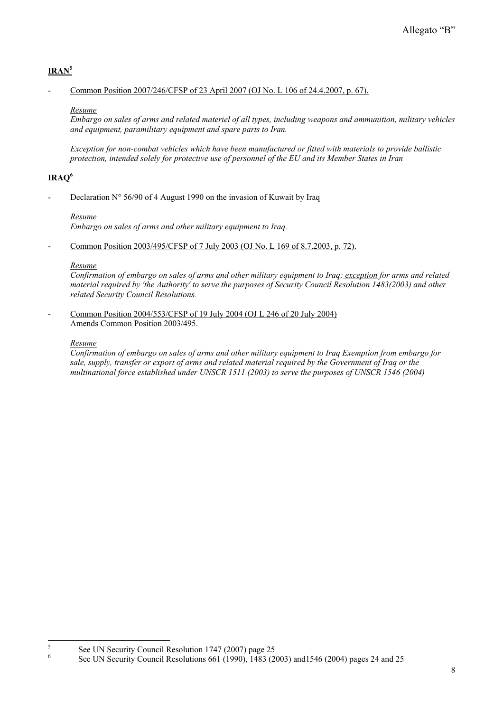# **IRAN5**

### - Common Position 2007/246/CFSP of 23 April 2007 (OJ No. L 106 of 24.4.2007, p. 67).

### *Resume*

*Embargo on sales of arms and related materiel of all types, including weapons and ammunition, military vehicles and equipment, paramilitary equipment and spare parts to Iran.* 

*Exception for non-combat vehicles which have been manufactured or fitted with materials to provide ballistic protection, intended solely for protective use of personnel of the EU and its Member States in Iran*

# **IRAQ6**

### Declaration  $N^{\circ}$  56/90 of 4 August 1990 on the invasion of Kuwait by Iraq

### *Resume*

*Embargo on sales of arms and other military equipment to Iraq.* 

Common Position 2003/495/CFSP of 7 July 2003 (OJ No. L 169 of 8.7.2003, p. 72).

### *Resume*

*Confirmation of embargo on sales of arms and other military equipment to Iraq; exception for arms and related material required by 'the Authority' to serve the purposes of Security Council Resolution 1483(2003) and other related Security Council Resolutions.* 

- Common Position 2004/553/CFSP of 19 July 2004 (OJ L 246 of 20 July 2004) Amends Common Position 2003/495.

### *Resume*

*Confirmation of embargo on sales of arms and other military equipment to Iraq Exemption from embargo for sale, supply, transfer or export of arms and related material required by the Government of Iraq or the multinational force established under UNSCR 1511 (2003) to serve the purposes of UNSCR 1546 (2004)* 

<sup>-&</sup>lt;br>5 See UN Security Council Resolution 1747 (2007) page 25

<sup>6</sup> See UN Security Council Resolutions 661 (1990), 1483 (2003) and1546 (2004) pages 24 and 25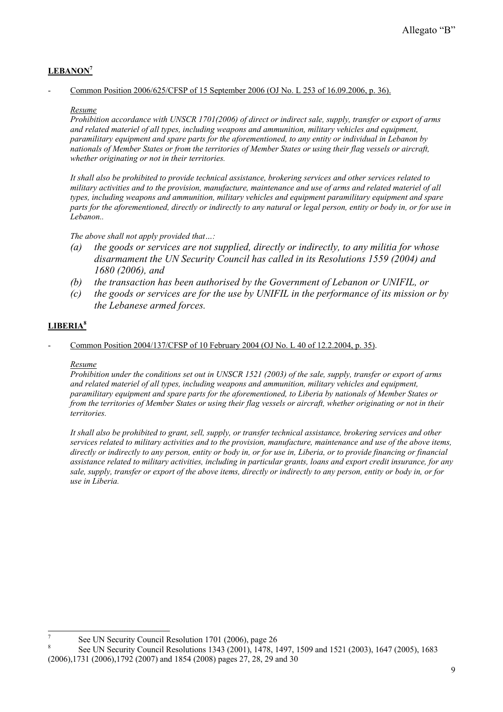# **LEBANON7**

### - Common Position 2006/625/CFSP of 15 September 2006 (OJ No. L 253 of 16.09.2006, p. 36).

### *Resume*

*Prohibition accordance with UNSCR 1701(2006) of direct or indirect sale, supply, transfer or export of arms and related materiel of all types, including weapons and ammunition, military vehicles and equipment, paramilitary equipment and spare parts for the aforementioned, to any entity or individual in Lebanon by nationals of Member States or from the territories of Member States or using their flag vessels or aircraft, whether originating or not in their territories.* 

*It shall also be prohibited to provide technical assistance, brokering services and other services related to military activities and to the provision, manufacture, maintenance and use of arms and related materiel of all types, including weapons and ammunition, military vehicles and equipment paramilitary equipment and spare parts for the aforementioned, directly or indirectly to any natural or legal person, entity or body in, or for use in Lebanon..* 

*The above shall not apply provided that…:* 

- *(a) the goods or services are not supplied, directly or indirectly, to any militia for whose disarmament the UN Security Council has called in its Resolutions 1559 (2004) and 1680 (2006), and*
- *(b) the transaction has been authorised by the Government of Lebanon or UNIFIL, or*
- *(c) the goods or services are for the use by UNIFIL in the performance of its mission or by the Lebanese armed forces.*

### **LIBERIA8**

Common Position 2004/137/CFSP of 10 February 2004 (OJ No. L 40 of 12.2.2004, p. 35).

#### *Resume*

*Prohibition under the conditions set out in UNSCR 1521 (2003) of the sale, supply, transfer or export of arms and related materiel of all types, including weapons and ammunition, military vehicles and equipment, paramilitary equipment and spare parts for the aforementioned, to Liberia by nationals of Member States or from the territories of Member States or using their flag vessels or aircraft, whether originating or not in their territories.* 

*It shall also be prohibited to grant, sell, supply, or transfer technical assistance, brokering services and other services related to military activities and to the provision, manufacture, maintenance and use of the above items, directly or indirectly to any person, entity or body in, or for use in, Liberia, or to provide financing or financial assistance related to military activities, including in particular grants, loans and export credit insurance, for any sale, supply, transfer or export of the above items, directly or indirectly to any person, entity or body in, or for use in Liberia.* 

<sup>7</sup> See UN Security Council Resolution 1701 (2006), page 26

<sup>8</sup> See UN Security Council Resolutions 1343 (2001), 1478, 1497, 1509 and 1521 (2003), 1647 (2005), 1683

<sup>(2006),1731 (2006),1792 (2007)</sup> and 1854 (2008) pages 27, 28, 29 and 30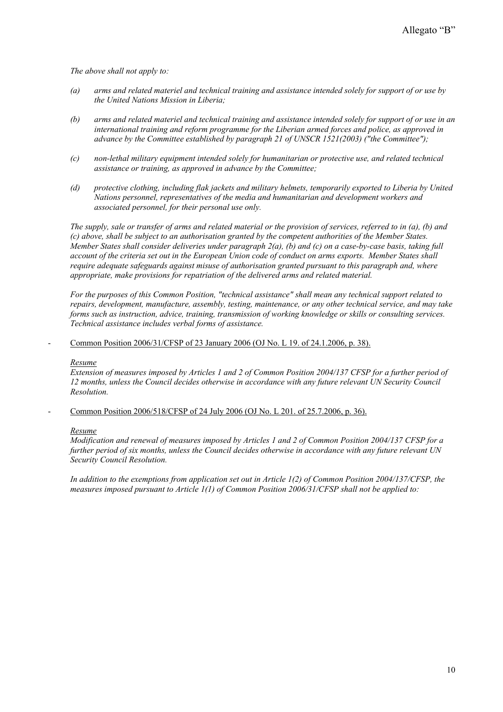*The above shall not apply to:* 

- *(a) arms and related materiel and technical training and assistance intended solely for support of or use by the United Nations Mission in Liberia;*
- *(b) arms and related materiel and technical training and assistance intended solely for support of or use in an international training and reform programme for the Liberian armed forces and police, as approved in advance by the Committee established by paragraph 21 of UNSCR 1521(2003) ("the Committee");*
- *(c) non-lethal military equipment intended solely for humanitarian or protective use, and related technical assistance or training, as approved in advance by the Committee;*
- *(d) protective clothing, including flak jackets and military helmets, temporarily exported to Liberia by United Nations personnel, representatives of the media and humanitarian and development workers and associated personnel, for their personal use only.*

*The supply, sale or transfer of arms and related material or the provision of services, referred to in (a), (b) and (c) above, shall be subject to an authorisation granted by the competent authorities of the Member States. Member States shall consider deliveries under paragraph 2(a), (b) and (c) on a case-by-case basis, taking full account of the criteria set out in the European Union code of conduct on arms exports. Member States shall require adequate safeguards against misuse of authorisation granted pursuant to this paragraph and, where appropriate, make provisions for repatriation of the delivered arms and related material.* 

*For the purposes of this Common Position, "technical assistance" shall mean any technical support related to repairs, development, manufacture, assembly, testing, maintenance, or any other technical service, and may take forms such as instruction, advice, training, transmission of working knowledge or skills or consulting services. Technical assistance includes verbal forms of assistance.* 

Common Position 2006/31/CFSP of 23 January 2006 (OJ No. L 19. of 24.1.2006, p. 38).

#### *Resume*

*Extension of measures imposed by Articles 1 and 2 of Common Position 2004/137 CFSP for a further period of 12 months, unless the Council decides otherwise in accordance with any future relevant UN Security Council Resolution.* 

Common Position 2006/518/CFSP of 24 July 2006 (OJ No. L 201. of 25.7.2006, p. 36).

#### *Resume*

*Modification and renewal of measures imposed by Articles 1 and 2 of Common Position 2004/137 CFSP for a further period of six months, unless the Council decides otherwise in accordance with any future relevant UN Security Council Resolution.* 

*In addition to the exemptions from application set out in Article 1(2) of Common Position 2004/137/CFSP, the measures imposed pursuant to Article 1(1) of Common Position 2006/31/CFSP shall not be applied to:*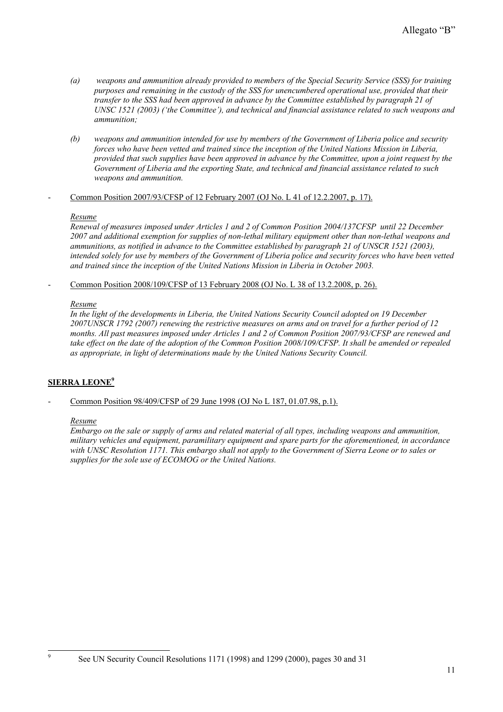- *(a) weapons and ammunition already provided to members of the Special Security Service (SSS) for training purposes and remaining in the custody of the SSS for unencumbered operational use, provided that their transfer to the SSS had been approved in advance by the Committee established by paragraph 21 of UNSC 1521 (2003) ('the Committee'), and technical and financial assistance related to such weapons and ammunition;*
- *(b) weapons and ammunition intended for use by members of the Government of Liberia police and security forces who have been vetted and trained since the inception of the United Nations Mission in Liberia, provided that such supplies have been approved in advance by the Committee, upon a joint request by the Government of Liberia and the exporting State, and technical and financial assistance related to such weapons and ammunition.*

#### - Common Position 2007/93/CFSP of 12 February 2007 (OJ No. L 41 of 12.2.2007, p. 17).

#### *Resume*

*Renewal of measures imposed under Articles 1 and 2 of Common Position 2004/137CFSP until 22 December 2007 and additional exemption for supplies of non-lethal military equipment other than non-lethal weapons and ammunitions, as notified in advance to the Committee established by paragraph 21 of UNSCR 1521 (2003), intended solely for use by members of the Government of Liberia police and security forces who have been vetted and trained since the inception of the United Nations Mission in Liberia in October 2003.* 

Common Position 2008/109/CFSP of 13 February 2008 (OJ No. L 38 of 13.2.2008, p. 26).

### *Resume*

*In the light of the developments in Liberia, the United Nations Security Council adopted on 19 December 2007UNSCR 1792 (2007) renewing the restrictive measures on arms and on travel for a further period of 12 months. All past measures imposed under Articles 1 and 2 of Common Position 2007/93/CFSP are renewed and take effect on the date of the adoption of the Common Position 2008/109/CFSP. It shall be amended or repealed as appropriate, in light of determinations made by the United Nations Security Council.* 

### **SIERRA LEONE9**

### Common Position 98/409/CFSP of 29 June 1998 (OJ No L 187, 01.07.98, p.1).

#### *Resume*

9

*Embargo on the sale or supply of arms and related material of all types, including weapons and ammunition, military vehicles and equipment, paramilitary equipment and spare parts for the aforementioned, in accordance with UNSC Resolution 1171. This embargo shall not apply to the Government of Sierra Leone or to sales or supplies for the sole use of ECOMOG or the United Nations.* 

See UN Security Council Resolutions 1171 (1998) and 1299 (2000), pages 30 and 31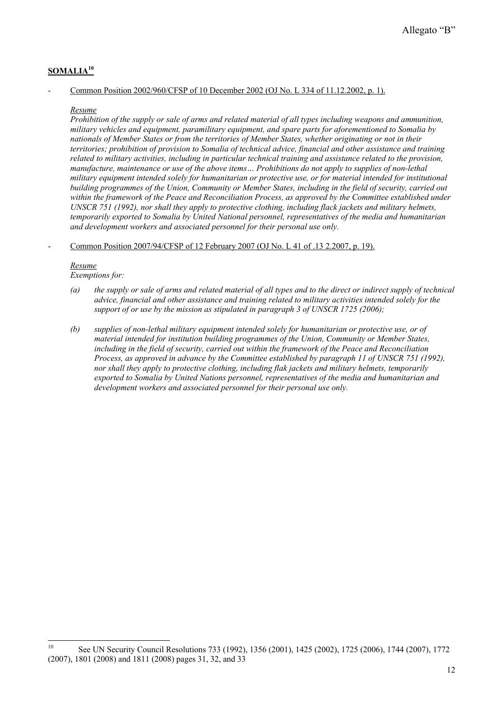# **SOMALIA10**

### Common Position 2002/960/CFSP of 10 December 2002 (OJ No. L 334 of 11.12.2002, p. 1).

#### *Resume*

*Prohibition of the supply or sale of arms and related material of all types including weapons and ammunition, military vehicles and equipment, paramilitary equipment, and spare parts for aforementioned to Somalia by nationals of Member States or from the territories of Member States, whether originating or not in their territories; prohibition of provision to Somalia of technical advice, financial and other assistance and training related to military activities, including in particular technical training and assistance related to the provision, manufacture, maintenance or use of the above items… Prohibitions do not apply to supplies of non-lethal military equipment intended solely for humanitarian or protective use, or for material intended for institutional building programmes of the Union, Community or Member States, including in the field of security, carried out*  within the framework of the Peace and Reconciliation Process, as approved by the Committee established under *UNSCR 751 (1992), nor shall they apply to protective clothing, including flack jackets and military helmets, temporarily exported to Somalia by United National personnel, representatives of the media and humanitarian and development workers and associated personnel for their personal use only.* 

#### - Common Position 2007/94/CFSP of 12 February 2007 (OJ No. L 41 of .13 2.2007, p. 19).

#### *Resume Exemptions for:*

- *(a) the supply or sale of arms and related material of all types and to the direct or indirect supply of technical advice, financial and other assistance and training related to military activities intended solely for the support of or use by the mission as stipulated in paragraph 3 of UNSCR 1725 (2006);*
- *(b) supplies of non-lethal military equipment intended solely for humanitarian or protective use, or of material intended for institution building programmes of the Union, Community or Member States, including in the field of security, carried out within the framework of the Peace and Reconciliation Process, as approved in advance by the Committee established by paragraph 11 of UNSCR 751 (1992), nor shall they apply to protective clothing, including flak jackets and military helmets, temporarily exported to Somalia by United Nations personnel, representatives of the media and humanitarian and development workers and associated personnel for their personal use only.*

 $10<sup>10</sup>$ See UN Security Council Resolutions 733 (1992), 1356 (2001), 1425 (2002), 1725 (2006), 1744 (2007), 1772 (2007), 1801 (2008) and 1811 (2008) pages 31, 32, and 33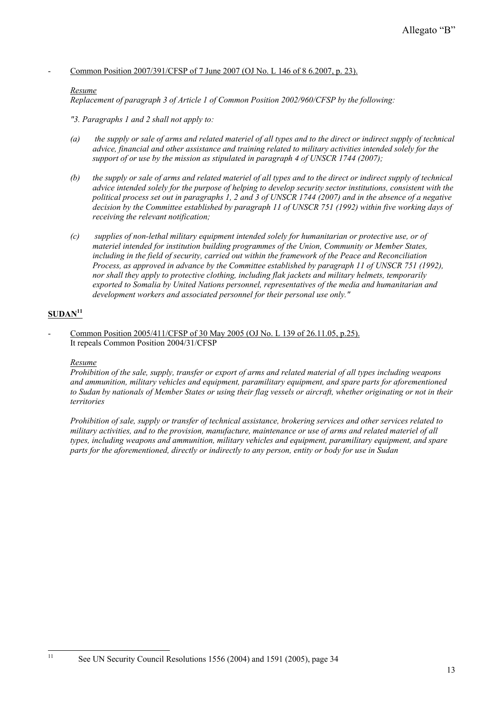- Common Position 2007/391/CFSP of 7 June 2007 (OJ No. L 146 of 8 6.2007, p. 23).

#### *Resume*

*Replacement of paragraph 3 of Article 1 of Common Position 2002/960/CFSP by the following:* 

*"3. Paragraphs 1 and 2 shall not apply to:* 

- *(a) the supply or sale of arms and related materiel of all types and to the direct or indirect supply of technical advice, financial and other assistance and training related to military activities intended solely for the support of or use by the mission as stipulated in paragraph 4 of UNSCR 1744 (2007);*
- *(b) the supply or sale of arms and related materiel of all types and to the direct or indirect supply of technical advice intended solely for the purpose of helping to develop security sector institutions, consistent with the political process set out in paragraphs 1, 2 and 3 of UNSCR 1744 (2007) and in the absence of a negative decision by the Committee established by paragraph 11 of UNSCR 751 (1992) within five working days of receiving the relevant notification;*
- *(c) supplies of non-lethal military equipment intended solely for humanitarian or protective use, or of materiel intended for institution building programmes of the Union, Community or Member States, including in the field of security, carried out within the framework of the Peace and Reconciliation Process, as approved in advance by the Committee established by paragraph 11 of UNSCR 751 (1992), nor shall they apply to protective clothing, including flak jackets and military helmets, temporarily exported to Somalia by United Nations personnel, representatives of the media and humanitarian and development workers and associated personnel for their personal use only."*

## **SUDAN11**

 $11$ 

Common Position 2005/411/CFSP of 30 May 2005 (OJ No. L 139 of 26.11.05, p.25). It repeals Common Position 2004/31/CFSP

#### *Resume*

*Prohibition of the sale, supply, transfer or export of arms and related material of all types including weapons and ammunition, military vehicles and equipment, paramilitary equipment, and spare parts for aforementioned to Sudan by nationals of Member States or using their flag vessels or aircraft, whether originating or not in their territories* 

*Prohibition of sale, supply or transfer of technical assistance, brokering services and other services related to military activities, and to the provision, manufacture, maintenance or use of arms and related materiel of all types, including weapons and ammunition, military vehicles and equipment, paramilitary equipment, and spare parts for the aforementioned, directly or indirectly to any person, entity or body for use in Sudan* 

See UN Security Council Resolutions 1556 (2004) and 1591 (2005), page 34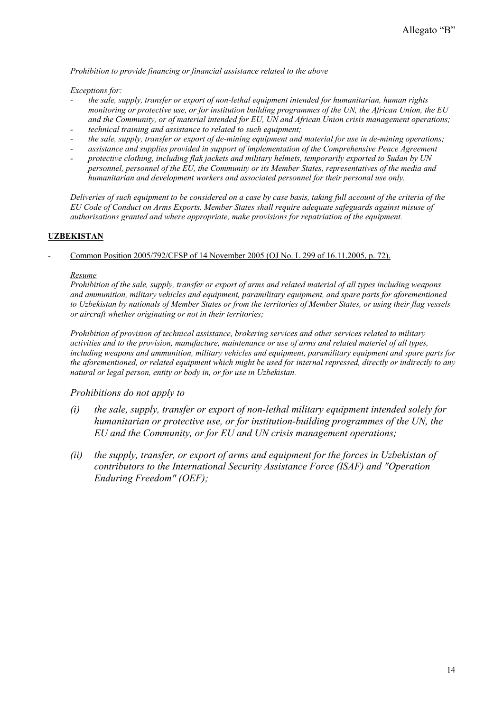*Prohibition to provide financing or financial assistance related to the above* 

*Exceptions for:* 

- *the sale, supply, transfer or export of non-lethal equipment intended for humanitarian, human rights monitoring or protective use, or for institution building programmes of the UN, the African Union, the EU and the Community, or of material intended for EU, UN and African Union crisis management operations;*
- *technical training and assistance to related to such equipment;*
- *the sale, supply, transfer or export of de-mining equipment and material for use in de-mining operations;*
- *assistance and supplies provided in support of implementation of the Comprehensive Peace Agreement*
- *protective clothing, including flak jackets and military helmets, temporarily exported to Sudan by UN personnel, personnel of the EU, the Community or its Member States, representatives of the media and humanitarian and development workers and associated personnel for their personal use only.*

*Deliveries of such equipment to be considered on a case by case basis, taking full account of the criteria of the EU Code of Conduct on Arms Exports. Member States shall require adequate safeguards against misuse of authorisations granted and where appropriate, make provisions for repatriation of the equipment.*

### **UZBEKISTAN**

Common Position 2005/792/CFSP of 14 November 2005 (OJ No. L 299 of 16.11.2005, p. 72).

#### *Resume*

*Prohibition of the sale, supply, transfer or export of arms and related material of all types including weapons and ammunition, military vehicles and equipment, paramilitary equipment, and spare parts for aforementioned to Uzbekistan by nationals of Member States or from the territories of Member States, or using their flag vessels or aircraft whether originating or not in their territories;* 

*Prohibition of provision of technical assistance, brokering services and other services related to military activities and to the provision, manufacture, maintenance or use of arms and related materiel of all types, including weapons and ammunition, military vehicles and equipment, paramilitary equipment and spare parts for the aforementioned, or related equipment which might be used for internal repressed, directly or indirectly to any natural or legal person, entity or body in, or for use in Uzbekistan.* 

### *Prohibitions do not apply to*

- *(i) the sale, supply, transfer or export of non-lethal military equipment intended solely for humanitarian or protective use, or for institution-building programmes of the UN, the EU and the Community, or for EU and UN crisis management operations;*
- *(ii) the supply, transfer, or export of arms and equipment for the forces in Uzbekistan of contributors to the International Security Assistance Force (ISAF) and "Operation Enduring Freedom" (OEF);*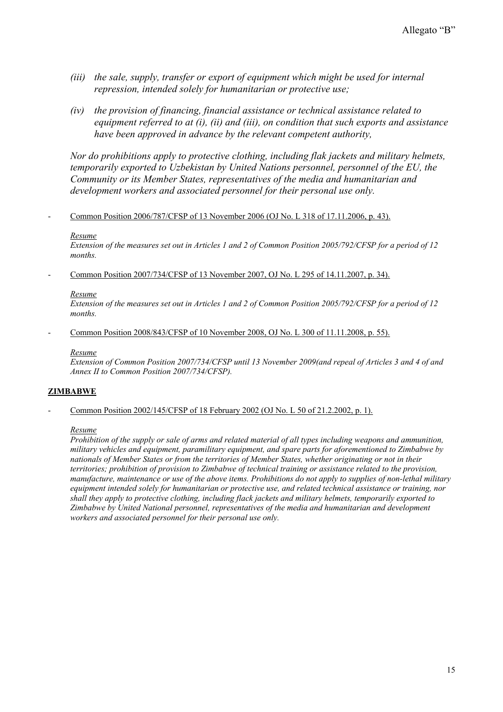- *(iii) the sale, supply, transfer or export of equipment which might be used for internal repression, intended solely for humanitarian or protective use;*
- *(iv) the provision of financing, financial assistance or technical assistance related to equipment referred to at (i), (ii) and (iii), on condition that such exports and assistance have been approved in advance by the relevant competent authority,*

*Nor do prohibitions apply to protective clothing, including flak jackets and military helmets, temporarily exported to Uzbekistan by United Nations personnel, personnel of the EU, the Community or its Member States, representatives of the media and humanitarian and development workers and associated personnel for their personal use only.* 

### - Common Position 2006/787/CFSP of 13 November 2006 (OJ No. L 318 of 17.11.2006, p. 43).

### *Resume*

*Extension of the measures set out in Articles 1 and 2 of Common Position 2005/792/CFSP for a period of 12 months.* 

Common Position 2007/734/CFSP of 13 November 2007, OJ No. L 295 of 14.11.2007, p. 34).

#### *Resume*

*Extension of the measures set out in Articles 1 and 2 of Common Position 2005/792/CFSP for a period of 12 months.* 

Common Position 2008/843/CFSP of 10 November 2008, OJ No. L 300 of 11.11.2008, p. 55).

#### *Resume*

*Extension of Common Position 2007/734/CFSP until 13 November 2009(and repeal of Articles 3 and 4 of and Annex II to Common Position 2007/734/CFSP).* 

### **ZIMBABWE**

- Common Position 2002/145/CFSP of 18 February 2002 (OJ No. L 50 of 21.2.2002, p. 1).

#### *Resume*

*Prohibition of the supply or sale of arms and related material of all types including weapons and ammunition, military vehicles and equipment, paramilitary equipment, and spare parts for aforementioned to Zimbabwe by nationals of Member States or from the territories of Member States, whether originating or not in their territories; prohibition of provision to Zimbabwe of technical training or assistance related to the provision, manufacture, maintenance or use of the above items. Prohibitions do not apply to supplies of non-lethal military equipment intended solely for humanitarian or protective use, and related technical assistance or training, nor shall they apply to protective clothing, including flack jackets and military helmets, temporarily exported to Zimbabwe by United National personnel, representatives of the media and humanitarian and development workers and associated personnel for their personal use only.*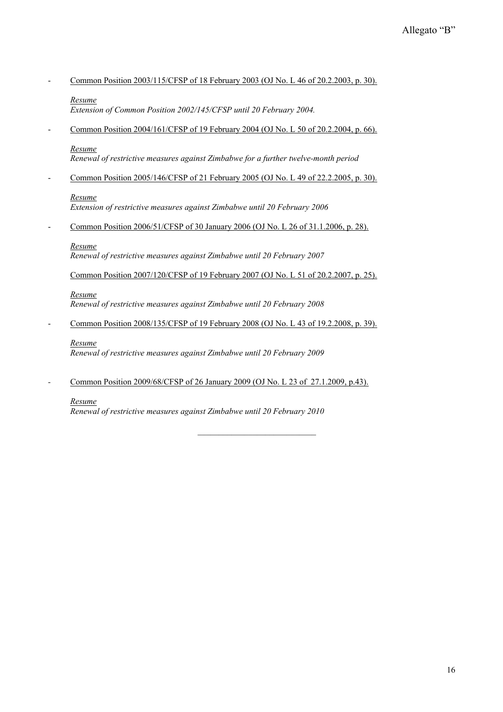Common Position 2003/115/CFSP of 18 February 2003 (OJ No. L 46 of 20.2.2003, p. 30).

#### *Resume*

*Extension of Common Position 2002/145/CFSP until 20 February 2004.* 

- Common Position 2004/161/CFSP of 19 February 2004 (OJ No. L 50 of 20.2.2004, p. 66).

#### *Resume*

*Renewal of restrictive measures against Zimbabwe for a further twelve-month period* 

- Common Position 2005/146/CFSP of 21 February 2005 (OJ No. L 49 of 22.2.2005, p. 30).

#### *Resume*

*Extension of restrictive measures against Zimbabwe until 20 February 2006* 

Common Position 2006/51/CFSP of 30 January 2006 (OJ No. L 26 of 31.1.2006, p. 28).

#### *Resume*

*Renewal of restrictive measures against Zimbabwe until 20 February 2007* 

Common Position 2007/120/CFSP of 19 February 2007 (OJ No. L 51 of 20.2.2007, p. 25).

*Resume Renewal of restrictive measures against Zimbabwe until 20 February 2008* 

Common Position 2008/135/CFSP of 19 February 2008 (OJ No. L 43 of 19.2.2008, p. 39).

### *Resume*

*Renewal of restrictive measures against Zimbabwe until 20 February 2009* 

*-* Common Position 2009/68/CFSP of 26 January 2009 (OJ No. L 23 of 27.1.2009, p.43).

### *Resume*

*Renewal of restrictive measures against Zimbabwe until 20 February 2010*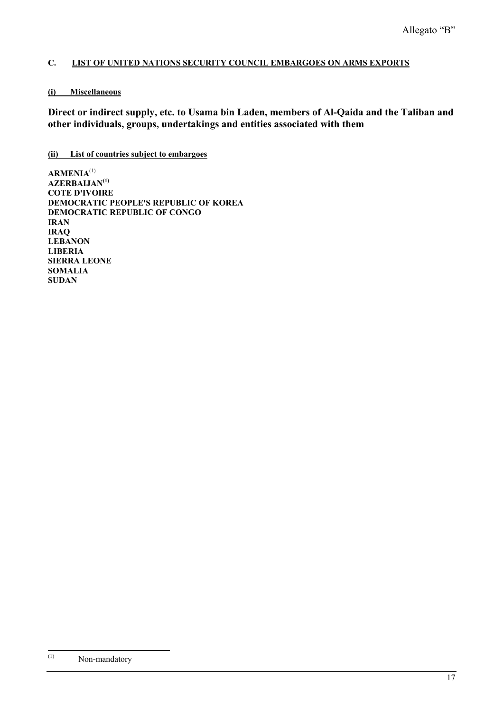# **C. LIST OF UNITED NATIONS SECURITY COUNCIL EMBARGOES ON ARMS EXPORTS**

## **(i) Miscellaneous**

**Direct or indirect supply, etc. to Usama bin Laden, members of Al-Qaida and the Taliban and other individuals, groups, undertakings and entities associated with them** 

### **(ii) List of countries subject to embargoes**

**ARMENIA**(1) **AZERBAIJAN(1) COTE D'IVOIRE DEMOCRATIC PEOPLE'S REPUBLIC OF KOREA DEMOCRATIC REPUBLIC OF CONGO IRAN IRAQ LEBANON LIBERIA SIERRA LEONE SOMALIA SUDAN** 

 $(1)$ Non-mandatory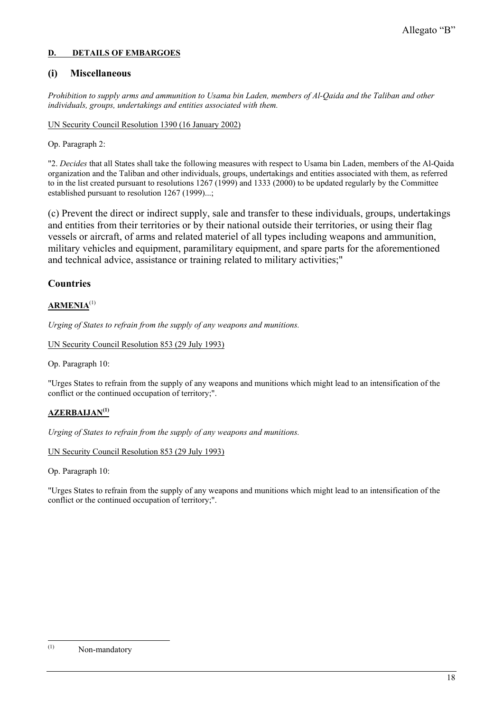### **D. DETAILS OF EMBARGOES**

# **(i) Miscellaneous**

*Prohibition to supply arms and ammunition to Usama bin Laden, members of Al-Qaida and the Taliban and other individuals, groups, undertakings and entities associated with them.* 

UN Security Council Resolution 1390 (16 January 2002)

Op. Paragraph 2:

"2. *Decides* that all States shall take the following measures with respect to Usama bin Laden, members of the Al-Qaida organization and the Taliban and other individuals, groups, undertakings and entities associated with them, as referred to in the list created pursuant to resolutions 1267 (1999) and 1333 (2000) to be updated regularly by the Committee established pursuant to resolution 1267 (1999)...;

(c) Prevent the direct or indirect supply, sale and transfer to these individuals, groups, undertakings and entities from their territories or by their national outside their territories, or using their flag vessels or aircraft, of arms and related materiel of all types including weapons and ammunition, military vehicles and equipment, paramilitary equipment, and spare parts for the aforementioned and technical advice, assistance or training related to military activities;"

# **Countries**

## **ARMENIA**(1)

*Urging of States to refrain from the supply of any weapons and munitions.*

UN Security Council Resolution 853 (29 July 1993)

Op. Paragraph 10:

"Urges States to refrain from the supply of any weapons and munitions which might lead to an intensification of the conflict or the continued occupation of territory;".

### **AZERBAIJAN(1)**

*Urging of States to refrain from the supply of any weapons and munitions.*

UN Security Council Resolution 853 (29 July 1993)

Op. Paragraph 10:

"Urges States to refrain from the supply of any weapons and munitions which might lead to an intensification of the conflict or the continued occupation of territory;".

 $(1)$ Non-mandatory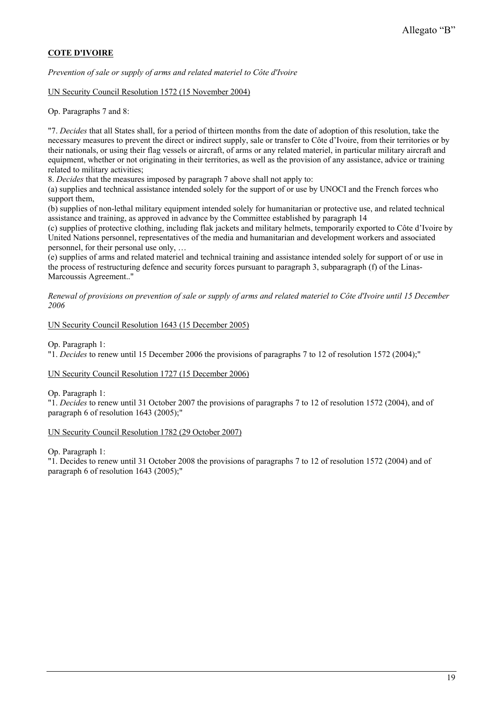# **COTE D'IVOIRE**

*Prevention of sale or supply of arms and related materiel to Côte d'Ivoire*

UN Security Council Resolution 1572 (15 November 2004)

Op. Paragraphs 7 and 8:

"7. *Decides* that all States shall, for a period of thirteen months from the date of adoption of this resolution, take the necessary measures to prevent the direct or indirect supply, sale or transfer to Côte d'Ivoire, from their territories or by their nationals, or using their flag vessels or aircraft, of arms or any related materiel, in particular military aircraft and equipment, whether or not originating in their territories, as well as the provision of any assistance, advice or training related to military activities;

8. *Decides* that the measures imposed by paragraph 7 above shall not apply to:

(a) supplies and technical assistance intended solely for the support of or use by UNOCI and the French forces who support them,

(b) supplies of non-lethal military equipment intended solely for humanitarian or protective use, and related technical assistance and training, as approved in advance by the Committee established by paragraph 14

(c) supplies of protective clothing, including flak jackets and military helmets, temporarily exported to Côte d'Ivoire by United Nations personnel, representatives of the media and humanitarian and development workers and associated personnel, for their personal use only, …

(e) supplies of arms and related materiel and technical training and assistance intended solely for support of or use in the process of restructuring defence and security forces pursuant to paragraph 3, subparagraph (f) of the Linas-Marcoussis Agreement.."

*Renewal of provisions on prevention of sale or supply of arms and related materiel to Côte d'Ivoire until 15 December 2006*

UN Security Council Resolution 1643 (15 December 2005)

Op. Paragraph 1:

"1. *Decides* to renew until 15 December 2006 the provisions of paragraphs 7 to 12 of resolution 1572 (2004);"

#### UN Security Council Resolution 1727 (15 December 2006)

Op. Paragraph 1:

"1. *Decides* to renew until 31 October 2007 the provisions of paragraphs 7 to 12 of resolution 1572 (2004), and of paragraph 6 of resolution 1643 (2005);"

#### UN Security Council Resolution 1782 (29 October 2007)

Op. Paragraph 1:

"1. Decides to renew until 31 October 2008 the provisions of paragraphs 7 to 12 of resolution 1572 (2004) and of paragraph 6 of resolution 1643 (2005);"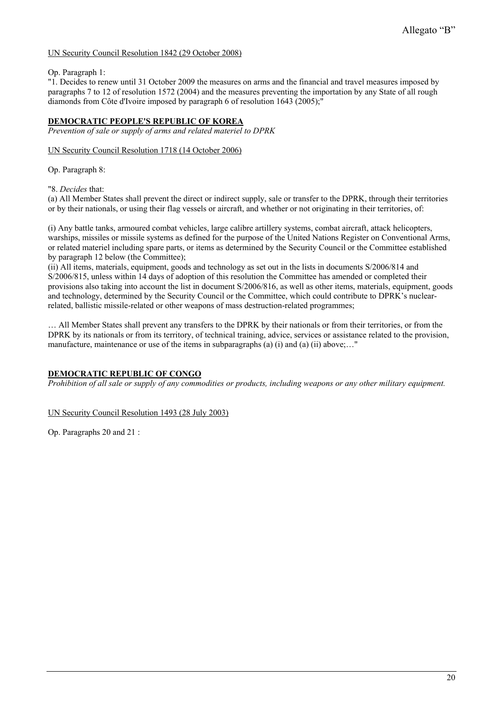### UN Security Council Resolution 1842 (29 October 2008)

Op. Paragraph 1:

"1. Decides to renew until 31 October 2009 the measures on arms and the financial and travel measures imposed by paragraphs 7 to 12 of resolution 1572 (2004) and the measures preventing the importation by any State of all rough diamonds from Côte d'Ivoire imposed by paragraph 6 of resolution 1643 (2005);"

### **DEMOCRATIC PEOPLE'S REPUBLIC OF KOREA**

*Prevention of sale or supply of arms and related materiel to DPRK*

#### UN Security Council Resolution 1718 (14 October 2006)

Op. Paragraph 8:

"8. *Decides* that:

(a) All Member States shall prevent the direct or indirect supply, sale or transfer to the DPRK, through their territories or by their nationals, or using their flag vessels or aircraft, and whether or not originating in their territories, of:

(i) Any battle tanks, armoured combat vehicles, large calibre artillery systems, combat aircraft, attack helicopters, warships, missiles or missile systems as defined for the purpose of the United Nations Register on Conventional Arms, or related materiel including spare parts, or items as determined by the Security Council or the Committee established by paragraph 12 below (the Committee);

(ii) All items, materials, equipment, goods and technology as set out in the lists in documents S/2006/814 and S/2006/815, unless within 14 days of adoption of this resolution the Committee has amended or completed their provisions also taking into account the list in document S/2006/816, as well as other items, materials, equipment, goods and technology, determined by the Security Council or the Committee, which could contribute to DPRK's nuclearrelated, ballistic missile-related or other weapons of mass destruction-related programmes;

… All Member States shall prevent any transfers to the DPRK by their nationals or from their territories, or from the DPRK by its nationals or from its territory, of technical training, advice, services or assistance related to the provision, manufacture, maintenance or use of the items in subparagraphs (a) (i) and (a) (ii) above;..."

### **DEMOCRATIC REPUBLIC OF CONGO**

*Prohibition of all sale or supply of any commodities or products, including weapons or any other military equipment.* 

#### UN Security Council Resolution 1493 (28 July 2003)

Op. Paragraphs 20 and 21 :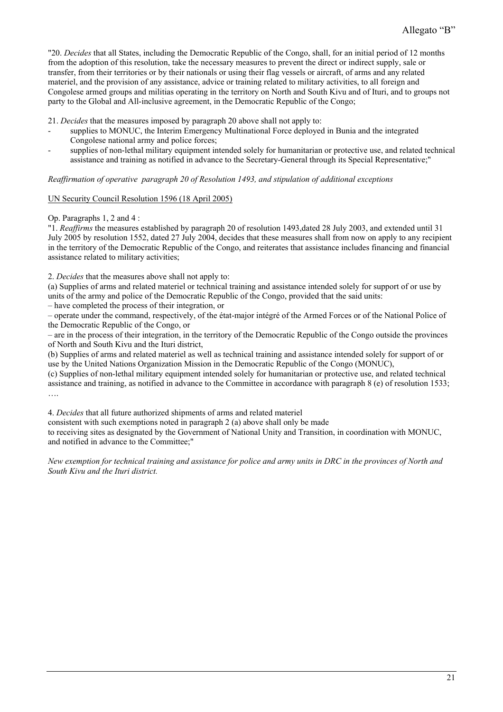"20. *Decides* that all States, including the Democratic Republic of the Congo, shall, for an initial period of 12 months from the adoption of this resolution, take the necessary measures to prevent the direct or indirect supply, sale or transfer, from their territories or by their nationals or using their flag vessels or aircraft, of arms and any related materiel, and the provision of any assistance, advice or training related to military activities, to all foreign and Congolese armed groups and militias operating in the territory on North and South Kivu and of Ituri, and to groups not party to the Global and All-inclusive agreement, in the Democratic Republic of the Congo;

21. *Decides* that the measures imposed by paragraph 20 above shall not apply to:

- supplies to MONUC, the Interim Emergency Multinational Force deployed in Bunia and the integrated Congolese national army and police forces;
- supplies of non-lethal military equipment intended solely for humanitarian or protective use, and related technical assistance and training as notified in advance to the Secretary-General through its Special Representative;"

*Reaffirmation of operative paragraph 20 of Resolution 1493, and stipulation of additional exceptions* 

UN Security Council Resolution 1596 (18 April 2005)

Op. Paragraphs 1, 2 and 4 :

"1. *Reaffirms* the measures established by paragraph 20 of resolution 1493,dated 28 July 2003, and extended until 31 July 2005 by resolution 1552, dated 27 July 2004, decides that these measures shall from now on apply to any recipient in the territory of the Democratic Republic of the Congo, and reiterates that assistance includes financing and financial assistance related to military activities;

2. *Decides* that the measures above shall not apply to:

(a) Supplies of arms and related materiel or technical training and assistance intended solely for support of or use by units of the army and police of the Democratic Republic of the Congo, provided that the said units:

– have completed the process of their integration, or

– operate under the command, respectively, of the état-major intégré of the Armed Forces or of the National Police of the Democratic Republic of the Congo, or

– are in the process of their integration, in the territory of the Democratic Republic of the Congo outside the provinces of North and South Kivu and the Ituri district,

(b) Supplies of arms and related materiel as well as technical training and assistance intended solely for support of or use by the United Nations Organization Mission in the Democratic Republic of the Congo (MONUC),

(c) Supplies of non-lethal military equipment intended solely for humanitarian or protective use, and related technical assistance and training, as notified in advance to the Committee in accordance with paragraph 8 (e) of resolution 1533; ….

4. *Decides* that all future authorized shipments of arms and related materiel

consistent with such exemptions noted in paragraph 2 (a) above shall only be made

to receiving sites as designated by the Government of National Unity and Transition, in coordination with MONUC, and notified in advance to the Committee;"

*New exemption for technical training and assistance for police and army units in DRC in the provinces of North and South Kivu and the Ituri district.*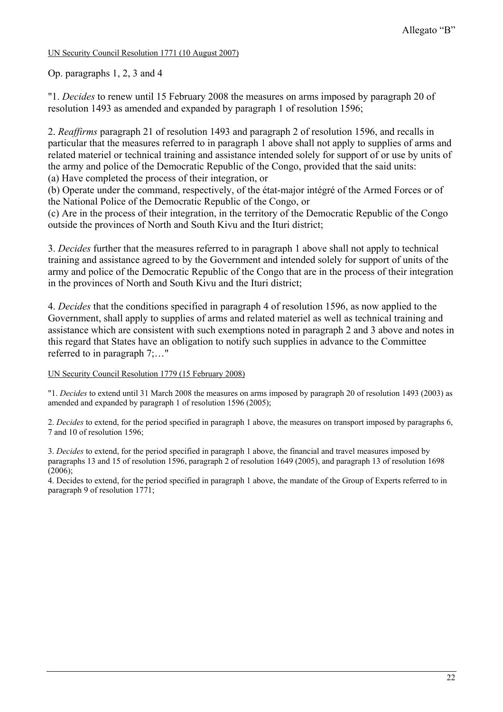## UN Security Council Resolution 1771 (10 August 2007)

Op. paragraphs 1, 2, 3 and 4

"1. *Decides* to renew until 15 February 2008 the measures on arms imposed by paragraph 20 of resolution 1493 as amended and expanded by paragraph 1 of resolution 1596;

2. *Reaffirms* paragraph 21 of resolution 1493 and paragraph 2 of resolution 1596, and recalls in particular that the measures referred to in paragraph 1 above shall not apply to supplies of arms and related materiel or technical training and assistance intended solely for support of or use by units of the army and police of the Democratic Republic of the Congo, provided that the said units: (a) Have completed the process of their integration, or

(b) Operate under the command, respectively, of the état-major intégré of the Armed Forces or of the National Police of the Democratic Republic of the Congo, or

(c) Are in the process of their integration, in the territory of the Democratic Republic of the Congo outside the provinces of North and South Kivu and the Ituri district;

3. *Decides* further that the measures referred to in paragraph 1 above shall not apply to technical training and assistance agreed to by the Government and intended solely for support of units of the army and police of the Democratic Republic of the Congo that are in the process of their integration in the provinces of North and South Kivu and the Ituri district;

4. *Decides* that the conditions specified in paragraph 4 of resolution 1596, as now applied to the Government, shall apply to supplies of arms and related materiel as well as technical training and assistance which are consistent with such exemptions noted in paragraph 2 and 3 above and notes in this regard that States have an obligation to notify such supplies in advance to the Committee referred to in paragraph 7;…"

### UN Security Council Resolution 1779 (15 February 2008)

"1. *Decides* to extend until 31 March 2008 the measures on arms imposed by paragraph 20 of resolution 1493 (2003) as amended and expanded by paragraph 1 of resolution 1596 (2005);

2. *Decides* to extend, for the period specified in paragraph 1 above, the measures on transport imposed by paragraphs 6, 7 and 10 of resolution 1596;

3. *Decides* to extend, for the period specified in paragraph 1 above, the financial and travel measures imposed by paragraphs 13 and 15 of resolution 1596, paragraph 2 of resolution 1649 (2005), and paragraph 13 of resolution 1698 (2006);

4. Decides to extend, for the period specified in paragraph 1 above, the mandate of the Group of Experts referred to in paragraph 9 of resolution 1771;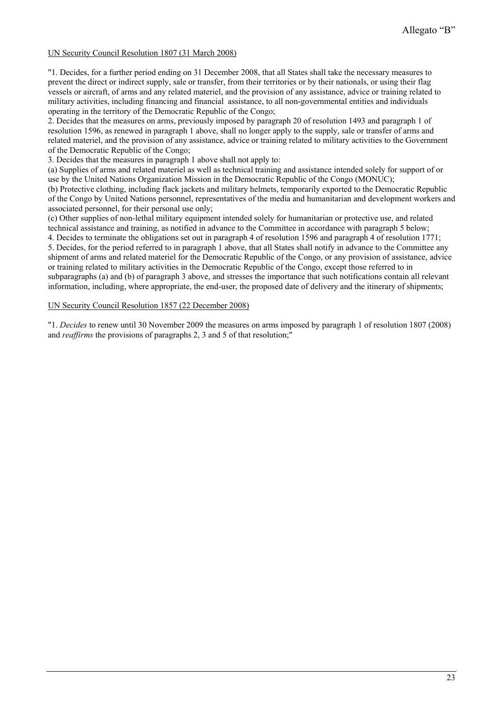### UN Security Council Resolution 1807 (31 March 2008)

"1. Decides, for a further period ending on 31 December 2008, that all States shall take the necessary measures to prevent the direct or indirect supply, sale or transfer, from their territories or by their nationals, or using their flag vessels or aircraft, of arms and any related materiel, and the provision of any assistance, advice or training related to military activities, including financing and financial assistance, to all non-governmental entities and individuals operating in the territory of the Democratic Republic of the Congo;

2. Decides that the measures on arms, previously imposed by paragraph 20 of resolution 1493 and paragraph 1 of resolution 1596, as renewed in paragraph 1 above, shall no longer apply to the supply, sale or transfer of arms and related materiel, and the provision of any assistance, advice or training related to military activities to the Government of the Democratic Republic of the Congo;

3. Decides that the measures in paragraph 1 above shall not apply to:

(a) Supplies of arms and related materiel as well as technical training and assistance intended solely for support of or use by the United Nations Organization Mission in the Democratic Republic of the Congo (MONUC); (b) Protective clothing, including flack jackets and military helmets, temporarily exported to the Democratic Republic

of the Congo by United Nations personnel, representatives of the media and humanitarian and development workers and associated personnel, for their personal use only;

(c) Other supplies of non-lethal military equipment intended solely for humanitarian or protective use, and related technical assistance and training, as notified in advance to the Committee in accordance with paragraph 5 below;

4. Decides to terminate the obligations set out in paragraph 4 of resolution 1596 and paragraph 4 of resolution 1771; 5. Decides, for the period referred to in paragraph 1 above, that all States shall notify in advance to the Committee any shipment of arms and related materiel for the Democratic Republic of the Congo, or any provision of assistance, advice or training related to military activities in the Democratic Republic of the Congo, except those referred to in subparagraphs (a) and (b) of paragraph 3 above, and stresses the importance that such notifications contain all relevant information, including, where appropriate, the end-user, the proposed date of delivery and the itinerary of shipments;

#### UN Security Council Resolution 1857 (22 December 2008)

"1. *Decides* to renew until 30 November 2009 the measures on arms imposed by paragraph 1 of resolution 1807 (2008) and *reaffirms* the provisions of paragraphs 2, 3 and 5 of that resolution;"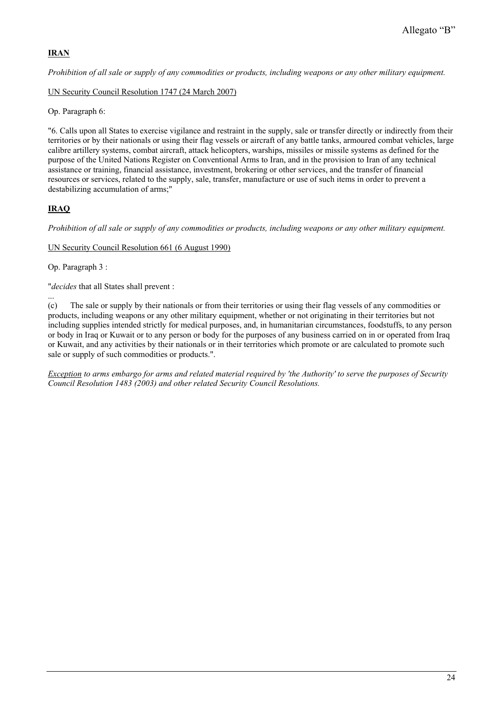# **IRAN**

*Prohibition of all sale or supply of any commodities or products, including weapons or any other military equipment.*

UN Security Council Resolution 1747 (24 March 2007)

Op. Paragraph 6:

"6. Calls upon all States to exercise vigilance and restraint in the supply, sale or transfer directly or indirectly from their territories or by their nationals or using their flag vessels or aircraft of any battle tanks, armoured combat vehicles, large calibre artillery systems, combat aircraft, attack helicopters, warships, missiles or missile systems as defined for the purpose of the United Nations Register on Conventional Arms to Iran, and in the provision to Iran of any technical assistance or training, financial assistance, investment, brokering or other services, and the transfer of financial resources or services, related to the supply, sale, transfer, manufacture or use of such items in order to prevent a destabilizing accumulation of arms;"

# **IRAQ**

*Prohibition of all sale or supply of any commodities or products, including weapons or any other military equipment.*

UN Security Council Resolution 661 (6 August 1990)

Op. Paragraph 3 :

"*decides* that all States shall prevent :

... (c) The sale or supply by their nationals or from their territories or using their flag vessels of any commodities or products, including weapons or any other military equipment, whether or not originating in their territories but not including supplies intended strictly for medical purposes, and, in humanitarian circumstances, foodstuffs, to any person or body in Iraq or Kuwait or to any person or body for the purposes of any business carried on in or operated from Iraq or Kuwait, and any activities by their nationals or in their territories which promote or are calculated to promote such sale or supply of such commodities or products.".

*Exception to arms embargo for arms and related material required by 'the Authority' to serve the purposes of Security Council Resolution 1483 (2003) and other related Security Council Resolutions.*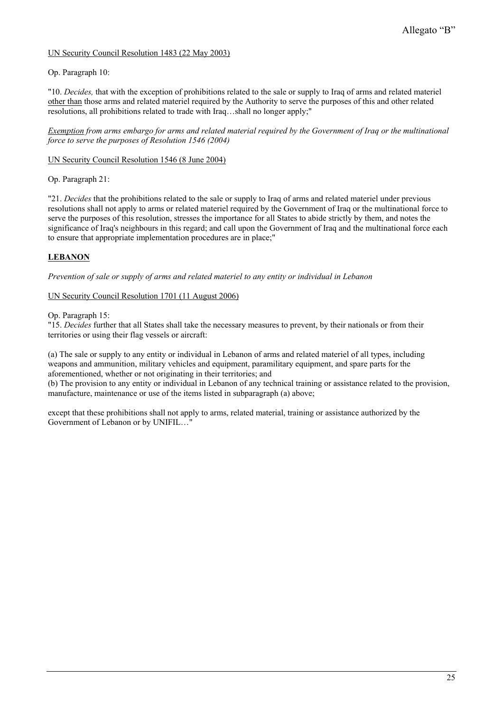### UN Security Council Resolution 1483 (22 May 2003)

### Op. Paragraph 10:

"10. *Decides,* that with the exception of prohibitions related to the sale or supply to Iraq of arms and related materiel other than those arms and related materiel required by the Authority to serve the purposes of this and other related resolutions, all prohibitions related to trade with Iraq…shall no longer apply;"

*Exemption from arms embargo for arms and related material required by the Government of Iraq or the multinational force to serve the purposes of Resolution 1546 (2004)* 

### UN Security Council Resolution 1546 (8 June 2004)

Op. Paragraph 21:

"21. *Decides* that the prohibitions related to the sale or supply to Iraq of arms and related materiel under previous resolutions shall not apply to arms or related materiel required by the Government of Iraq or the multinational force to serve the purposes of this resolution, stresses the importance for all States to abide strictly by them, and notes the significance of Iraq's neighbours in this regard; and call upon the Government of Iraq and the multinational force each to ensure that appropriate implementation procedures are in place;"

# **LEBANON**

*Prevention of sale or supply of arms and related materiel to any entity or individual in Lebanon*

### UN Security Council Resolution 1701 (11 August 2006)

Op. Paragraph 15:

"15. *Decides* further that all States shall take the necessary measures to prevent, by their nationals or from their territories or using their flag vessels or aircraft:

(a) The sale or supply to any entity or individual in Lebanon of arms and related materiel of all types, including weapons and ammunition, military vehicles and equipment, paramilitary equipment, and spare parts for the aforementioned, whether or not originating in their territories; and

(b) The provision to any entity or individual in Lebanon of any technical training or assistance related to the provision, manufacture, maintenance or use of the items listed in subparagraph (a) above;

except that these prohibitions shall not apply to arms, related material, training or assistance authorized by the Government of Lebanon or by UNIFIL…"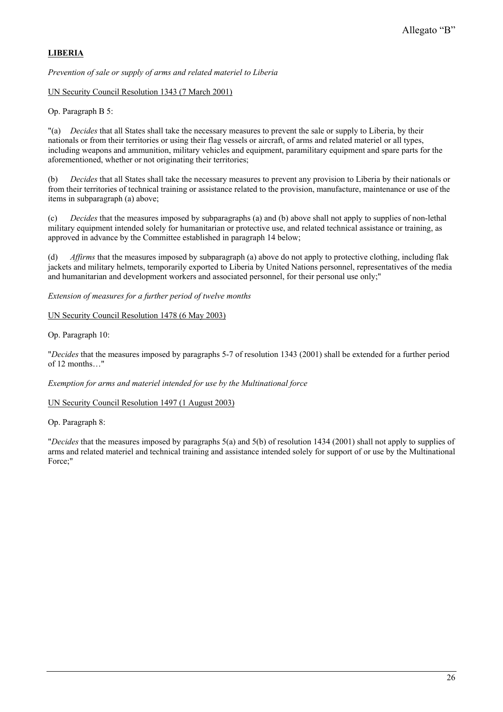# **LIBERIA**

*Prevention of sale or supply of arms and related materiel to Liberia*

UN Security Council Resolution 1343 (7 March 2001)

Op. Paragraph B 5:

"(a) *Decides* that all States shall take the necessary measures to prevent the sale or supply to Liberia, by their nationals or from their territories or using their flag vessels or aircraft, of arms and related materiel or all types, including weapons and ammunition, military vehicles and equipment, paramilitary equipment and spare parts for the aforementioned, whether or not originating their territories;

(b) *Decides* that all States shall take the necessary measures to prevent any provision to Liberia by their nationals or from their territories of technical training or assistance related to the provision, manufacture, maintenance or use of the items in subparagraph (a) above;

(c) *Decides* that the measures imposed by subparagraphs (a) and (b) above shall not apply to supplies of non-lethal military equipment intended solely for humanitarian or protective use, and related technical assistance or training, as approved in advance by the Committee established in paragraph 14 below;

(d) *Affirms* that the measures imposed by subparagraph (a) above do not apply to protective clothing, including flak jackets and military helmets, temporarily exported to Liberia by United Nations personnel, representatives of the media and humanitarian and development workers and associated personnel, for their personal use only;"

*Extension of measures for a further period of twelve months* 

UN Security Council Resolution 1478 (6 May 2003)

Op. Paragraph 10:

"*Decides* that the measures imposed by paragraphs 5-7 of resolution 1343 (2001) shall be extended for a further period of 12 months…"

*Exemption for arms and materiel intended for use by the Multinational force* 

UN Security Council Resolution 1497 (1 August 2003)

Op. Paragraph 8:

"*Decides* that the measures imposed by paragraphs 5(a) and 5(b) of resolution 1434 (2001) shall not apply to supplies of arms and related materiel and technical training and assistance intended solely for support of or use by the Multinational Force;"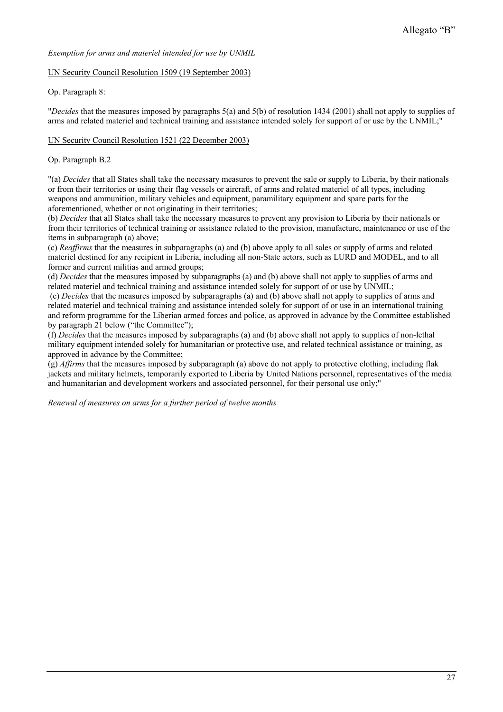### *Exemption for arms and materiel intended for use by UNMIL*

#### UN Security Council Resolution 1509 (19 September 2003)

### Op. Paragraph 8:

"*Decides* that the measures imposed by paragraphs 5(a) and 5(b) of resolution 1434 (2001) shall not apply to supplies of arms and related materiel and technical training and assistance intended solely for support of or use by the UNMIL;"

#### UN Security Council Resolution 1521 (22 December 2003)

### Op. Paragraph B.2

"(a) *Decides* that all States shall take the necessary measures to prevent the sale or supply to Liberia, by their nationals or from their territories or using their flag vessels or aircraft, of arms and related materiel of all types, including weapons and ammunition, military vehicles and equipment, paramilitary equipment and spare parts for the aforementioned, whether or not originating in their territories;

(b) *Decides* that all States shall take the necessary measures to prevent any provision to Liberia by their nationals or from their territories of technical training or assistance related to the provision, manufacture, maintenance or use of the items in subparagraph (a) above;

(c) *Reaffirms* that the measures in subparagraphs (a) and (b) above apply to all sales or supply of arms and related materiel destined for any recipient in Liberia, including all non-State actors, such as LURD and MODEL, and to all former and current militias and armed groups;

(d) *Decides* that the measures imposed by subparagraphs (a) and (b) above shall not apply to supplies of arms and related materiel and technical training and assistance intended solely for support of or use by UNMIL;

 (e) *Decides* that the measures imposed by subparagraphs (a) and (b) above shall not apply to supplies of arms and related materiel and technical training and assistance intended solely for support of or use in an international training and reform programme for the Liberian armed forces and police, as approved in advance by the Committee established by paragraph 21 below ("the Committee");

(f) *Decides* that the measures imposed by subparagraphs (a) and (b) above shall not apply to supplies of non-lethal military equipment intended solely for humanitarian or protective use, and related technical assistance or training, as approved in advance by the Committee;

(g) *Affirms* that the measures imposed by subparagraph (a) above do not apply to protective clothing, including flak jackets and military helmets, temporarily exported to Liberia by United Nations personnel, representatives of the media and humanitarian and development workers and associated personnel, for their personal use only;"

*Renewal of measures on arms for a further period of twelve months*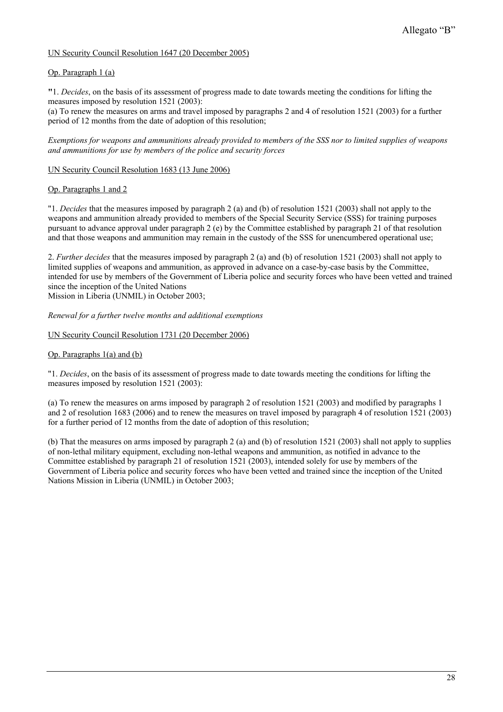### UN Security Council Resolution 1647 (20 December 2005)

#### Op. Paragraph 1 (a)

**"**1. *Decides*, on the basis of its assessment of progress made to date towards meeting the conditions for lifting the measures imposed by resolution 1521 (2003):

(a) To renew the measures on arms and travel imposed by paragraphs 2 and 4 of resolution 1521 (2003) for a further period of 12 months from the date of adoption of this resolution;

*Exemptions for weapons and ammunitions already provided to members of the SSS nor to limited supplies of weapons and ammunitions for use by members of the police and security forces* 

#### UN Security Council Resolution 1683 (13 June 2006)

#### Op. Paragraphs 1 and 2

"1. *Decides* that the measures imposed by paragraph 2 (a) and (b) of resolution 1521 (2003) shall not apply to the weapons and ammunition already provided to members of the Special Security Service (SSS) for training purposes pursuant to advance approval under paragraph 2 (e) by the Committee established by paragraph 21 of that resolution and that those weapons and ammunition may remain in the custody of the SSS for unencumbered operational use;

2. *Further decides* that the measures imposed by paragraph 2 (a) and (b) of resolution 1521 (2003) shall not apply to limited supplies of weapons and ammunition, as approved in advance on a case-by-case basis by the Committee, intended for use by members of the Government of Liberia police and security forces who have been vetted and trained since the inception of the United Nations

Mission in Liberia (UNMIL) in October 2003;

#### *Renewal for a further twelve months and additional exemptions*

#### UN Security Council Resolution 1731 (20 December 2006)

#### Op. Paragraphs 1(a) and (b)

"1. *Decides*, on the basis of its assessment of progress made to date towards meeting the conditions for lifting the measures imposed by resolution 1521 (2003):

(a) To renew the measures on arms imposed by paragraph 2 of resolution 1521 (2003) and modified by paragraphs 1 and 2 of resolution 1683 (2006) and to renew the measures on travel imposed by paragraph 4 of resolution 1521 (2003) for a further period of 12 months from the date of adoption of this resolution;

(b) That the measures on arms imposed by paragraph 2 (a) and (b) of resolution 1521 (2003) shall not apply to supplies of non-lethal military equipment, excluding non-lethal weapons and ammunition, as notified in advance to the Committee established by paragraph 21 of resolution 1521 (2003), intended solely for use by members of the Government of Liberia police and security forces who have been vetted and trained since the inception of the United Nations Mission in Liberia (UNMIL) in October 2003;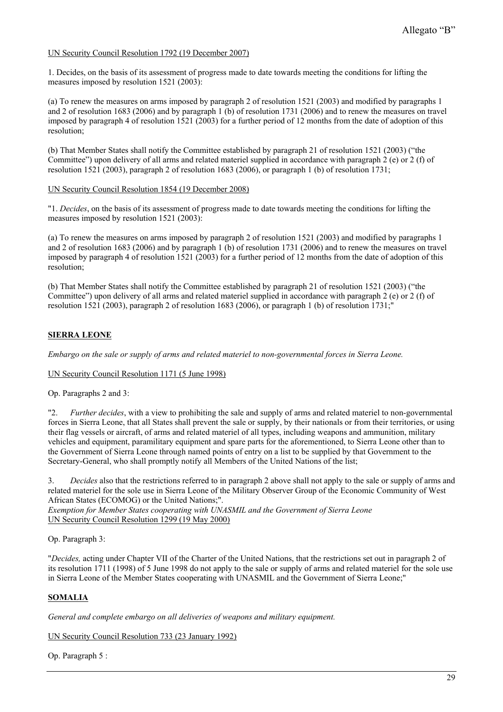### UN Security Council Resolution 1792 (19 December 2007)

1. Decides, on the basis of its assessment of progress made to date towards meeting the conditions for lifting the measures imposed by resolution 1521 (2003):

(a) To renew the measures on arms imposed by paragraph 2 of resolution 1521 (2003) and modified by paragraphs 1 and 2 of resolution 1683 (2006) and by paragraph 1 (b) of resolution 1731 (2006) and to renew the measures on travel imposed by paragraph 4 of resolution 1521 (2003) for a further period of 12 months from the date of adoption of this resolution;

(b) That Member States shall notify the Committee established by paragraph 21 of resolution 1521 (2003) ("the Committee") upon delivery of all arms and related materiel supplied in accordance with paragraph 2 (e) or 2 (f) of resolution 1521 (2003), paragraph 2 of resolution 1683 (2006), or paragraph 1 (b) of resolution 1731;

#### UN Security Council Resolution 1854 (19 December 2008)

"1. *Decides*, on the basis of its assessment of progress made to date towards meeting the conditions for lifting the measures imposed by resolution 1521 (2003):

(a) To renew the measures on arms imposed by paragraph 2 of resolution 1521 (2003) and modified by paragraphs 1 and 2 of resolution 1683 (2006) and by paragraph 1 (b) of resolution 1731 (2006) and to renew the measures on travel imposed by paragraph 4 of resolution 1521 (2003) for a further period of 12 months from the date of adoption of this resolution;

(b) That Member States shall notify the Committee established by paragraph 21 of resolution 1521 (2003) ("the Committee") upon delivery of all arms and related materiel supplied in accordance with paragraph 2 (e) or 2 (f) of resolution 1521 (2003), paragraph 2 of resolution 1683 (2006), or paragraph 1 (b) of resolution 1731;"

### **SIERRA LEONE**

*Embargo on the sale or supply of arms and related materiel to non-governmental forces in Sierra Leone.* 

#### UN Security Council Resolution 1171 (5 June 1998)

Op. Paragraphs 2 and 3:

"2. *Further decides*, with a view to prohibiting the sale and supply of arms and related materiel to non-governmental forces in Sierra Leone, that all States shall prevent the sale or supply, by their nationals or from their territories, or using their flag vessels or aircraft, of arms and related materiel of all types, including weapons and ammunition, military vehicles and equipment, paramilitary equipment and spare parts for the aforementioned, to Sierra Leone other than to the Government of Sierra Leone through named points of entry on a list to be supplied by that Government to the Secretary-General, who shall promptly notify all Members of the United Nations of the list;

3. *Decides* also that the restrictions referred to in paragraph 2 above shall not apply to the sale or supply of arms and related materiel for the sole use in Sierra Leone of the Military Observer Group of the Economic Community of West African States (ECOMOG) or the United Nations;".

*Exemption for Member States cooperating with UNASMIL and the Government of Sierra Leone*  UN Security Council Resolution 1299 (19 May 2000)

Op. Paragraph 3:

"*Decides,* acting under Chapter VII of the Charter of the United Nations, that the restrictions set out in paragraph 2 of its resolution 1711 (1998) of 5 June 1998 do not apply to the sale or supply of arms and related materiel for the sole use in Sierra Leone of the Member States cooperating with UNASMIL and the Government of Sierra Leone;"

### **SOMALIA**

*General and complete embargo on all deliveries of weapons and military equipment.* 

UN Security Council Resolution 733 (23 January 1992)

Op. Paragraph 5 :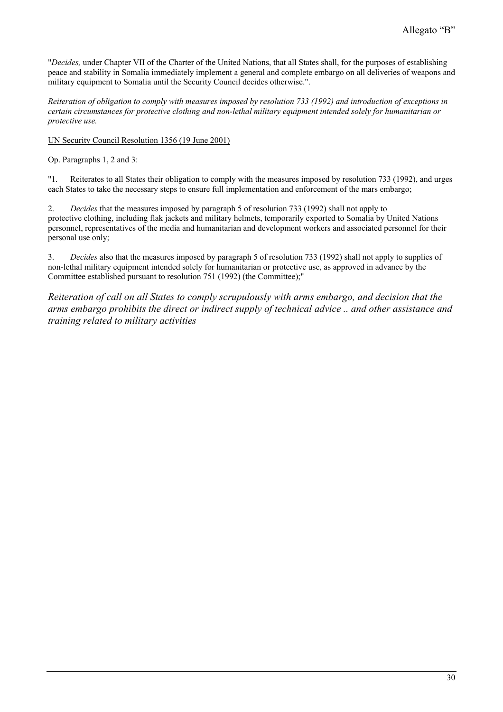"*Decides,* under Chapter VII of the Charter of the United Nations, that all States shall, for the purposes of establishing peace and stability in Somalia immediately implement a general and complete embargo on all deliveries of weapons and military equipment to Somalia until the Security Council decides otherwise.".

*Reiteration of obligation to comply with measures imposed by resolution 733 (1992) and introduction of exceptions in certain circumstances for protective clothing and non-lethal military equipment intended solely for humanitarian or protective use.* 

UN Security Council Resolution 1356 (19 June 2001)

Op. Paragraphs 1, 2 and 3:

"1. Reiterates to all States their obligation to comply with the measures imposed by resolution 733 (1992), and urges each States to take the necessary steps to ensure full implementation and enforcement of the mars embargo;

2. *Decides* that the measures imposed by paragraph 5 of resolution 733 (1992) shall not apply to protective clothing, including flak jackets and military helmets, temporarily exported to Somalia by United Nations personnel, representatives of the media and humanitarian and development workers and associated personnel for their personal use only;

3. *Decides* also that the measures imposed by paragraph 5 of resolution 733 (1992) shall not apply to supplies of non-lethal military equipment intended solely for humanitarian or protective use, as approved in advance by the Committee established pursuant to resolution 751 (1992) (the Committee);"

*Reiteration of call on all States to comply scrupulously with arms embargo, and decision that the arms embargo prohibits the direct or indirect supply of technical advice .. and other assistance and training related to military activities*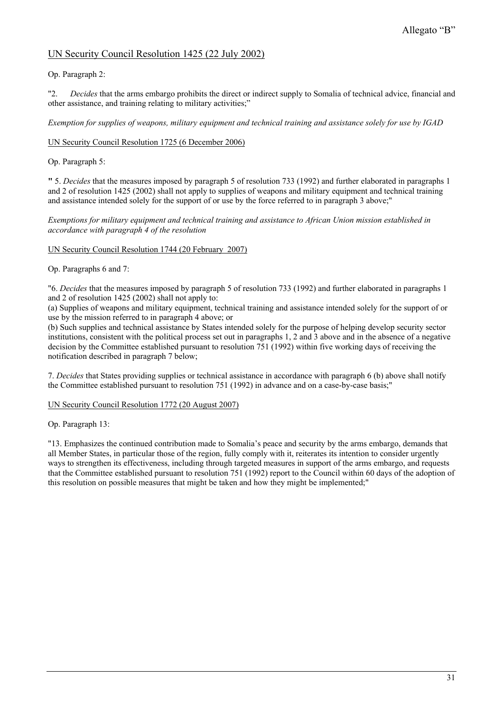# UN Security Council Resolution 1425 (22 July 2002)

## Op. Paragraph 2:

"2. *Decides* that the arms embargo prohibits the direct or indirect supply to Somalia of technical advice, financial and other assistance, and training relating to military activities;"

*Exemption for supplies of weapons, military equipment and technical training and assistance solely for use by IGAD* 

### UN Security Council Resolution 1725 (6 December 2006)

### Op. Paragraph 5:

**"** 5. *Decides* that the measures imposed by paragraph 5 of resolution 733 (1992) and further elaborated in paragraphs 1 and 2 of resolution 1425 (2002) shall not apply to supplies of weapons and military equipment and technical training and assistance intended solely for the support of or use by the force referred to in paragraph 3 above;"

*Exemptions for military equipment and technical training and assistance to African Union mission established in accordance with paragraph 4 of the resolution* 

### UN Security Council Resolution 1744 (20 February 2007)

Op. Paragraphs 6 and 7:

"6. *Decides* that the measures imposed by paragraph 5 of resolution 733 (1992) and further elaborated in paragraphs 1 and 2 of resolution 1425 (2002) shall not apply to:

(a) Supplies of weapons and military equipment, technical training and assistance intended solely for the support of or use by the mission referred to in paragraph 4 above; or

(b) Such supplies and technical assistance by States intended solely for the purpose of helping develop security sector institutions, consistent with the political process set out in paragraphs 1, 2 and 3 above and in the absence of a negative decision by the Committee established pursuant to resolution 751 (1992) within five working days of receiving the notification described in paragraph 7 below;

7. *Decides* that States providing supplies or technical assistance in accordance with paragraph 6 (b) above shall notify the Committee established pursuant to resolution 751 (1992) in advance and on a case-by-case basis;"

### UN Security Council Resolution 1772 (20 August 2007)

Op. Paragraph 13:

"13. Emphasizes the continued contribution made to Somalia's peace and security by the arms embargo, demands that all Member States, in particular those of the region, fully comply with it, reiterates its intention to consider urgently ways to strengthen its effectiveness, including through targeted measures in support of the arms embargo, and requests that the Committee established pursuant to resolution 751 (1992) report to the Council within 60 days of the adoption of this resolution on possible measures that might be taken and how they might be implemented;"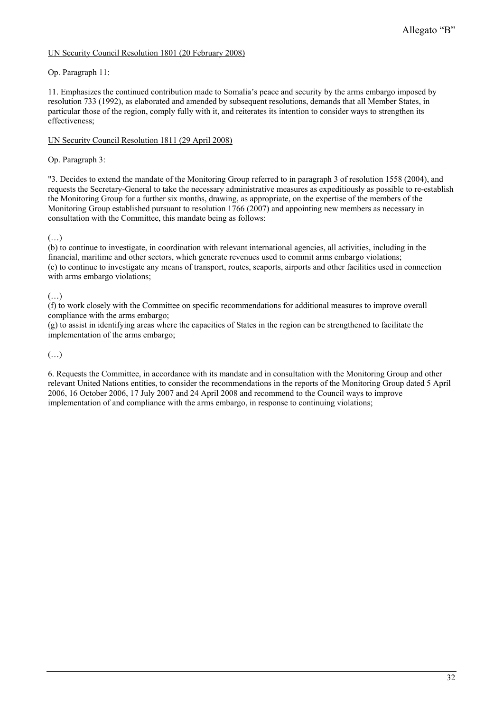### UN Security Council Resolution 1801 (20 February 2008)

Op. Paragraph 11:

11. Emphasizes the continued contribution made to Somalia's peace and security by the arms embargo imposed by resolution 733 (1992), as elaborated and amended by subsequent resolutions, demands that all Member States, in particular those of the region, comply fully with it, and reiterates its intention to consider ways to strengthen its effectiveness;

### UN Security Council Resolution 1811 (29 April 2008)

Op. Paragraph 3:

"3. Decides to extend the mandate of the Monitoring Group referred to in paragraph 3 of resolution 1558 (2004), and requests the Secretary-General to take the necessary administrative measures as expeditiously as possible to re-establish the Monitoring Group for a further six months, drawing, as appropriate, on the expertise of the members of the Monitoring Group established pursuant to resolution 1766 (2007) and appointing new members as necessary in consultation with the Committee, this mandate being as follows:

(…)

(b) to continue to investigate, in coordination with relevant international agencies, all activities, including in the financial, maritime and other sectors, which generate revenues used to commit arms embargo violations; (c) to continue to investigate any means of transport, routes, seaports, airports and other facilities used in connection with arms embargo violations;

### (…)

(f) to work closely with the Committee on specific recommendations for additional measures to improve overall compliance with the arms embargo;

(g) to assist in identifying areas where the capacities of States in the region can be strengthened to facilitate the implementation of the arms embargo;

### (…)

6. Requests the Committee, in accordance with its mandate and in consultation with the Monitoring Group and other relevant United Nations entities, to consider the recommendations in the reports of the Monitoring Group dated 5 April 2006, 16 October 2006, 17 July 2007 and 24 April 2008 and recommend to the Council ways to improve implementation of and compliance with the arms embargo, in response to continuing violations;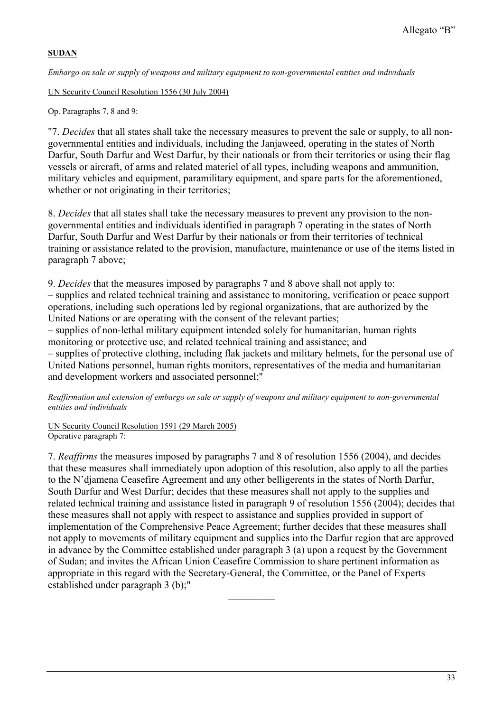# **SUDAN**

*Embargo on sale or supply of weapons and military equipment to non-governmental entities and individuals* 

UN Security Council Resolution 1556 (30 July 2004)

Op. Paragraphs 7, 8 and 9:

"7. *Decides* that all states shall take the necessary measures to prevent the sale or supply, to all nongovernmental entities and individuals, including the Janjaweed, operating in the states of North Darfur, South Darfur and West Darfur, by their nationals or from their territories or using their flag vessels or aircraft, of arms and related materiel of all types, including weapons and ammunition, military vehicles and equipment, paramilitary equipment, and spare parts for the aforementioned, whether or not originating in their territories;

8. *Decides* that all states shall take the necessary measures to prevent any provision to the nongovernmental entities and individuals identified in paragraph 7 operating in the states of North Darfur, South Darfur and West Darfur by their nationals or from their territories of technical training or assistance related to the provision, manufacture, maintenance or use of the items listed in paragraph 7 above;

9. *Decides* that the measures imposed by paragraphs 7 and 8 above shall not apply to: – supplies and related technical training and assistance to monitoring, verification or peace support operations, including such operations led by regional organizations, that are authorized by the United Nations or are operating with the consent of the relevant parties;

– supplies of non-lethal military equipment intended solely for humanitarian, human rights monitoring or protective use, and related technical training and assistance; and – supplies of protective clothing, including flak jackets and military helmets, for the personal use of United Nations personnel, human rights monitors, representatives of the media and humanitarian and development workers and associated personnel;"

*Reaffirmation and extension of embargo on sale or supply of weapons and military equipment to non-governmental entities and individuals* 

UN Security Council Resolution 1591 (29 March 2005) Operative paragraph 7:

7. *Reaffirms* the measures imposed by paragraphs 7 and 8 of resolution 1556 (2004), and decides that these measures shall immediately upon adoption of this resolution, also apply to all the parties to the N'djamena Ceasefire Agreement and any other belligerents in the states of North Darfur, South Darfur and West Darfur; decides that these measures shall not apply to the supplies and related technical training and assistance listed in paragraph 9 of resolution 1556 (2004); decides that these measures shall not apply with respect to assistance and supplies provided in support of implementation of the Comprehensive Peace Agreement; further decides that these measures shall not apply to movements of military equipment and supplies into the Darfur region that are approved in advance by the Committee established under paragraph 3 (a) upon a request by the Government of Sudan; and invites the African Union Ceasefire Commission to share pertinent information as appropriate in this regard with the Secretary-General, the Committee, or the Panel of Experts established under paragraph  $3$  (b);"